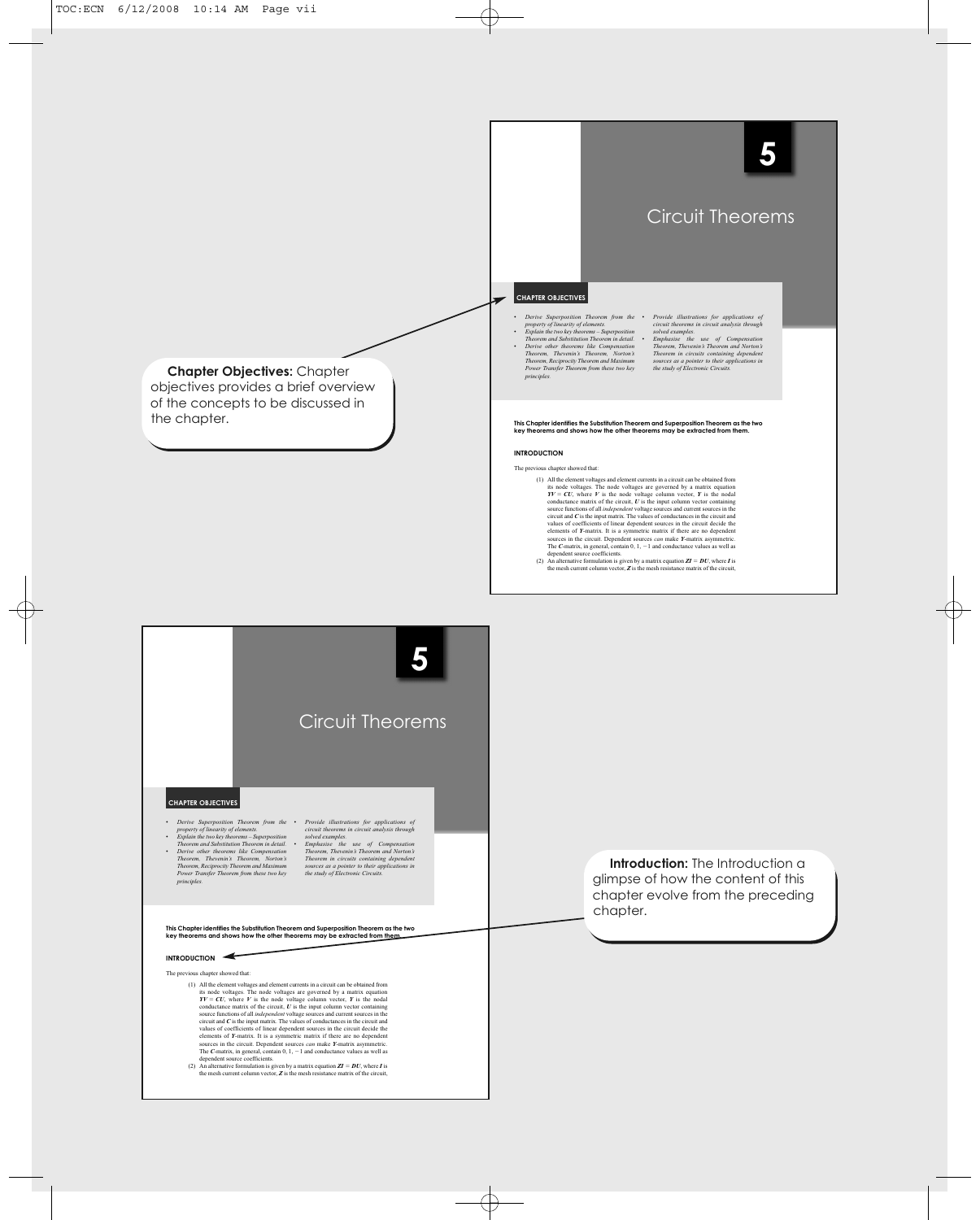

 $\oplus$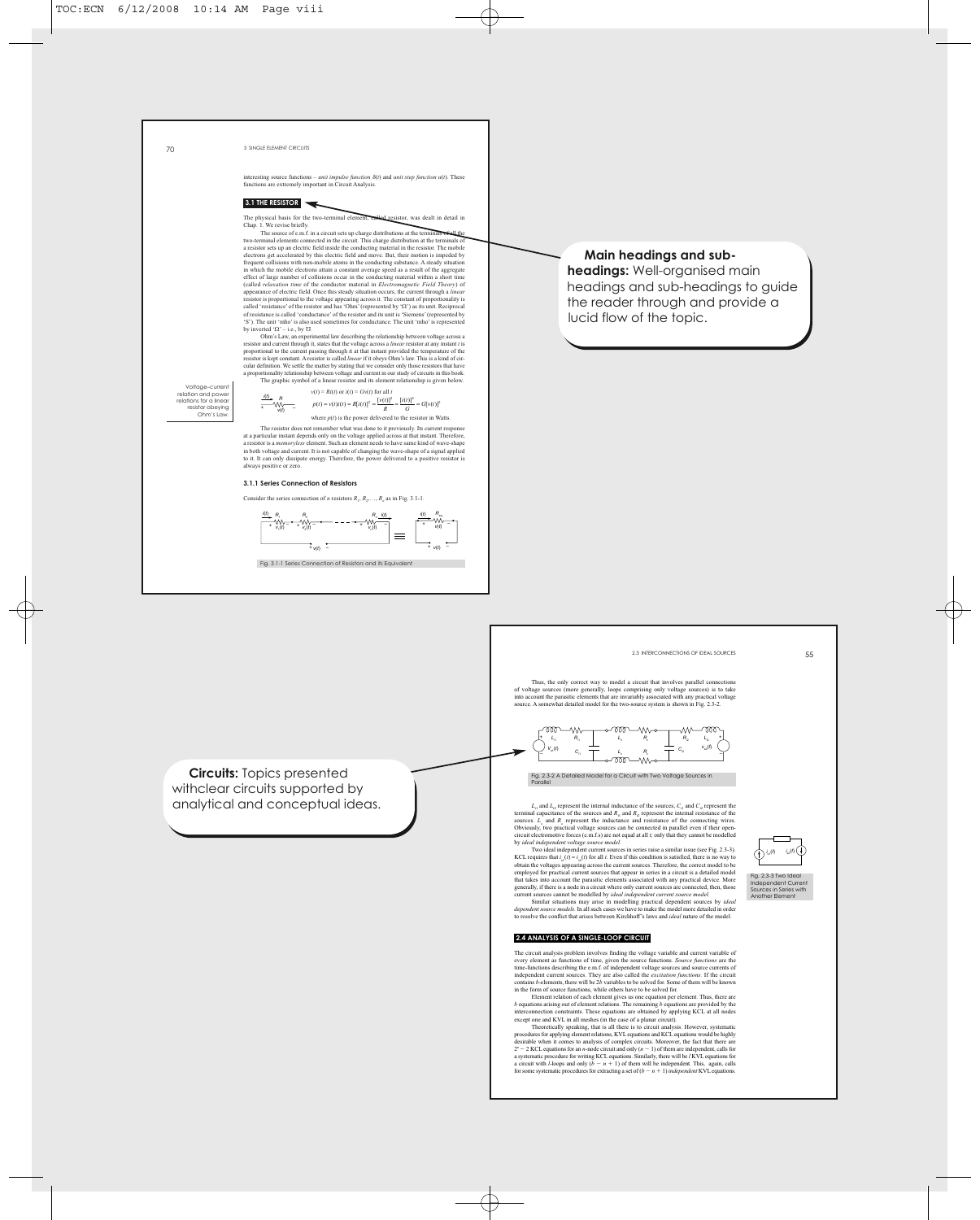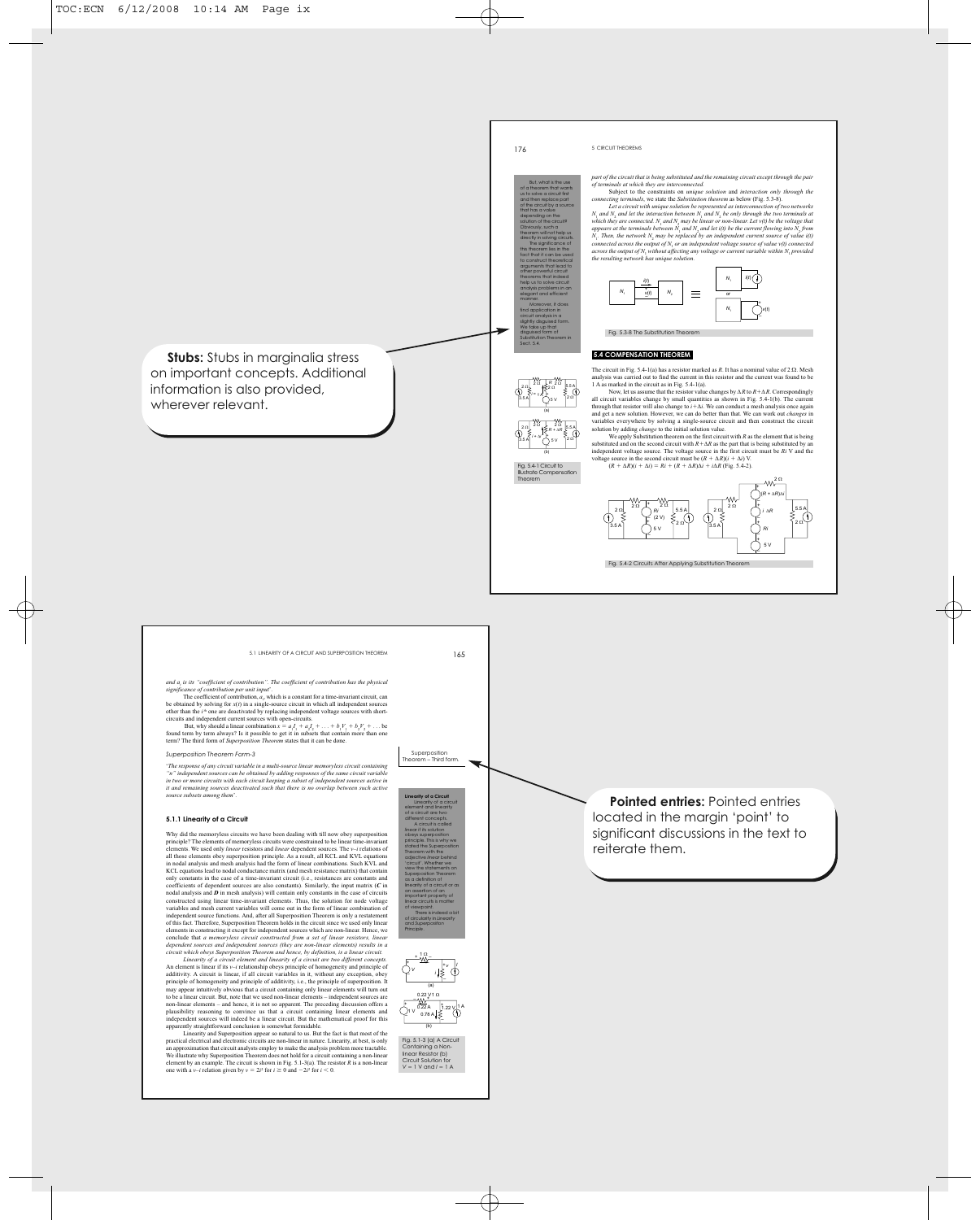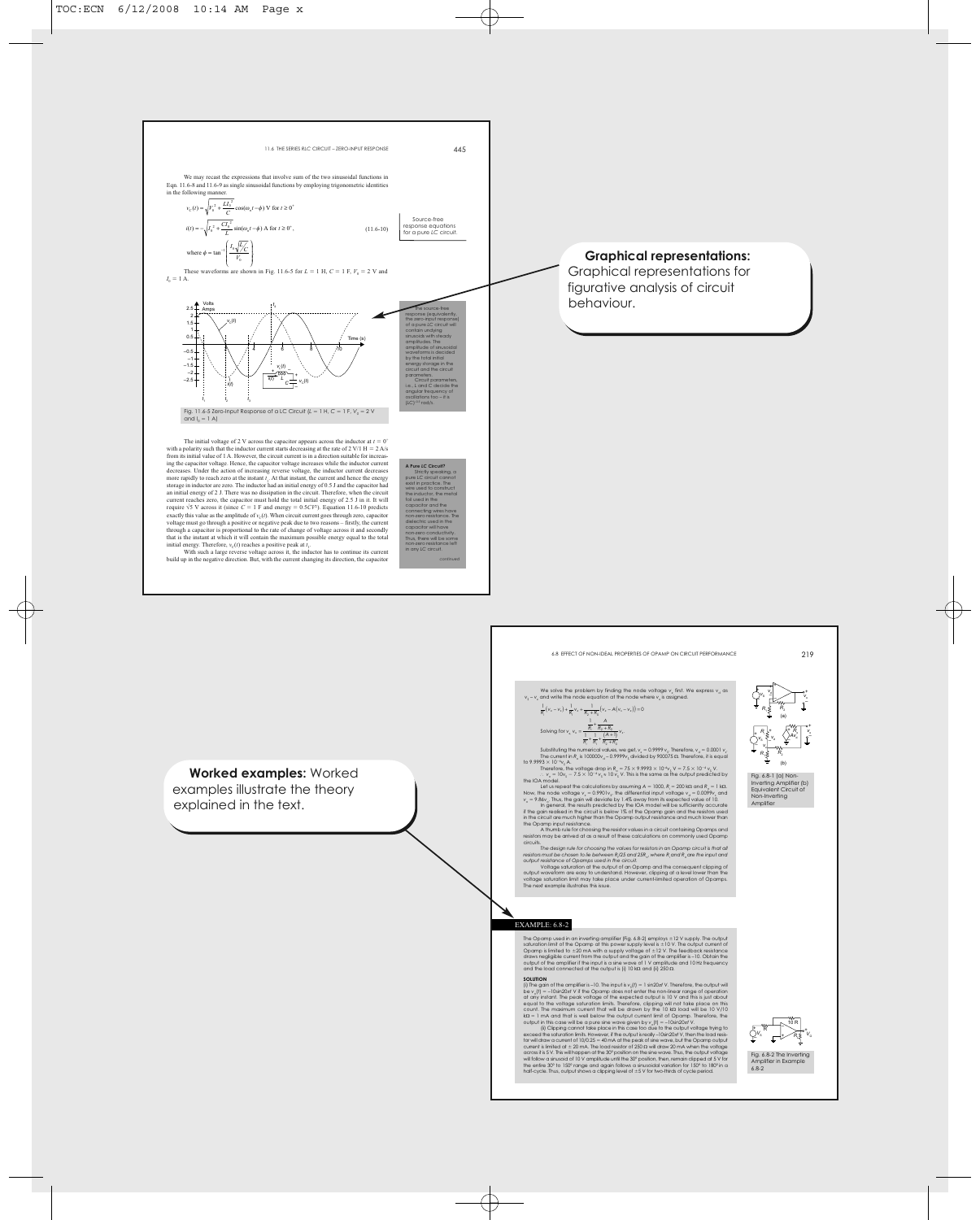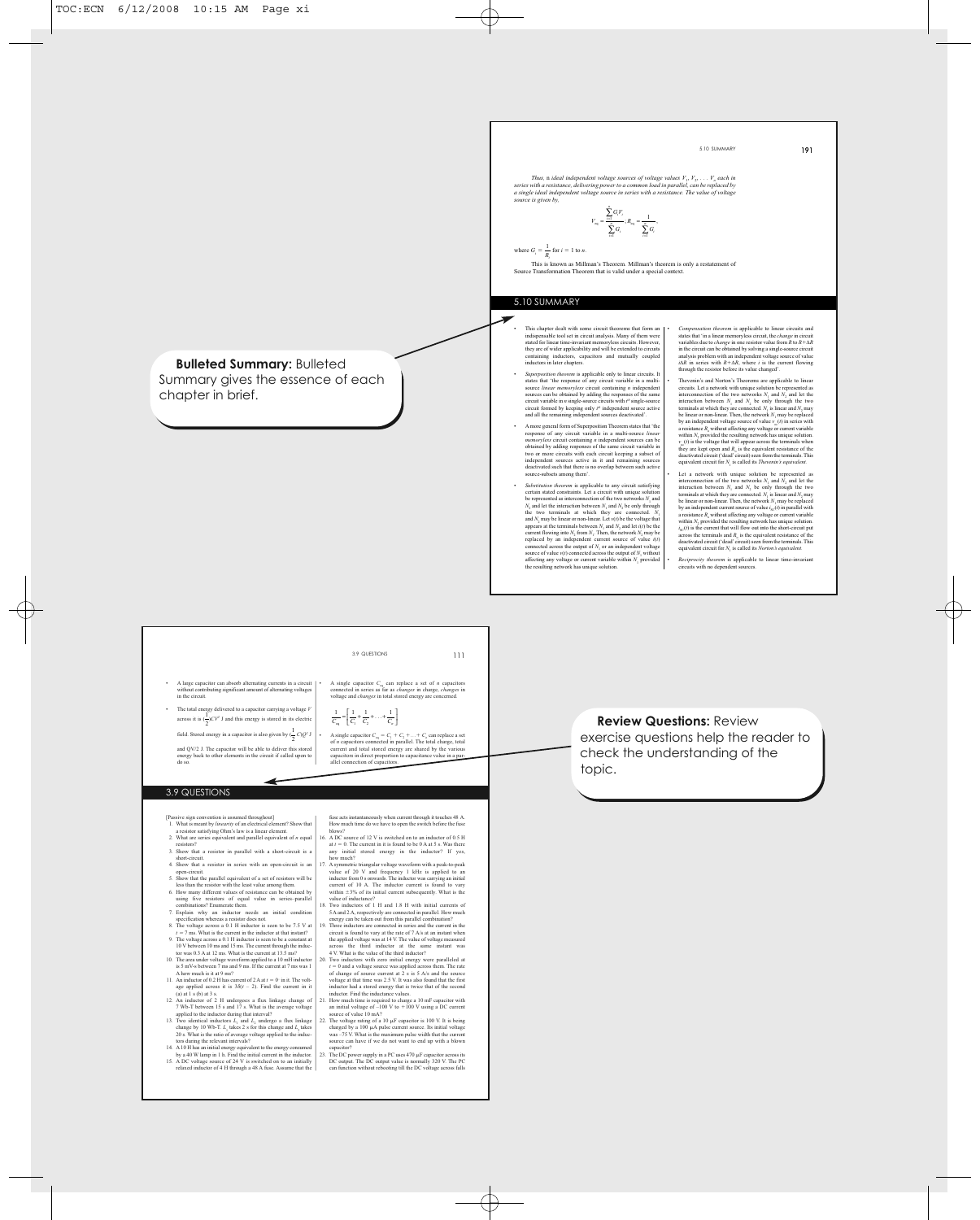

- 
- 
- 
- 

- 
- DC output. The DC output value is normally 320 V. The PC can function without rebooting till the DC voltage across falls

 $\oplus$